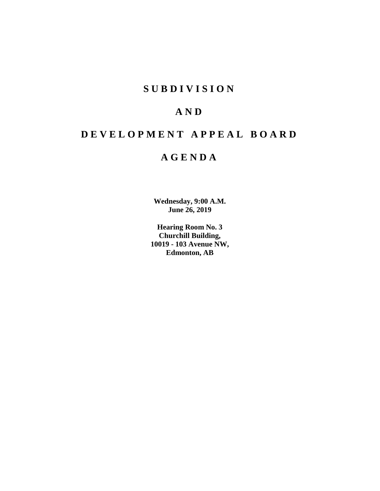# **SUBDIVISION**

# **AND**

# **DEVELOPMENT APPEAL BOARD**

# **AGENDA**

**Wednesday, 9:00 A.M. June 26, 2019**

**Hearing Room No. 3 Churchill Building, 10019 - 103 Avenue NW, Edmonton, AB**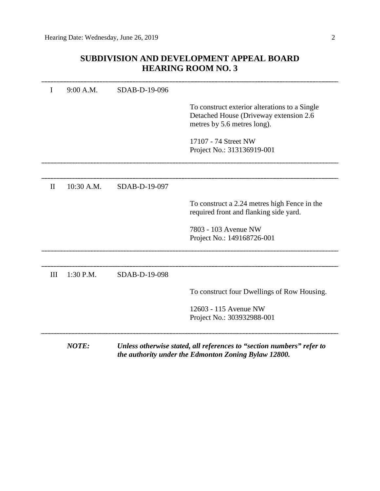# **SUBDIVISION AND DEVELOPMENT APPEAL BOARD HEARING ROOM NO. 3**

|              | 9:00 A.M.    | SDAB-D-19-096 |                                                                                                                         |
|--------------|--------------|---------------|-------------------------------------------------------------------------------------------------------------------------|
|              |              |               | To construct exterior alterations to a Single<br>Detached House (Driveway extension 2.6)<br>metres by 5.6 metres long). |
|              |              |               | 17107 - 74 Street NW<br>Project No.: 313136919-001                                                                      |
| $\mathbf{I}$ | 10:30 A.M.   | SDAB-D-19-097 |                                                                                                                         |
|              |              |               | To construct a 2.24 metres high Fence in the<br>required front and flanking side yard.                                  |
|              |              |               | 7803 - 103 Avenue NW<br>Project No.: 149168726-001                                                                      |
|              |              |               |                                                                                                                         |
| III          | 1:30 P.M.    | SDAB-D-19-098 |                                                                                                                         |
|              |              |               | To construct four Dwellings of Row Housing.                                                                             |
|              |              |               | 12603 - 115 Avenue NW<br>Project No.: 303932988-001                                                                     |
|              | <b>NOTE:</b> |               | Unless otherwise stated, all references to "section numbers" refer to                                                   |

*the authority under the Edmonton Zoning Bylaw 12800.*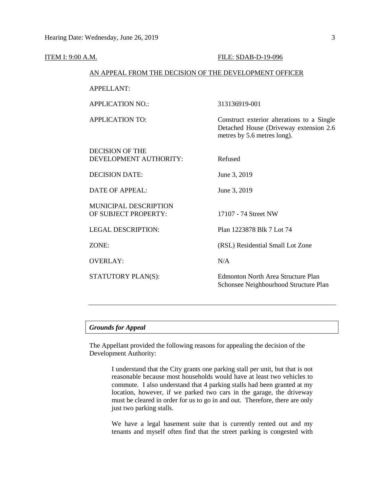| ITEM I: 9:00 A.M. |                                                        | FILE: SDAB-D-19-096                                                                                                 |  |  |
|-------------------|--------------------------------------------------------|---------------------------------------------------------------------------------------------------------------------|--|--|
|                   | AN APPEAL FROM THE DECISION OF THE DEVELOPMENT OFFICER |                                                                                                                     |  |  |
|                   | <b>APPELLANT:</b>                                      |                                                                                                                     |  |  |
|                   | <b>APPLICATION NO.:</b>                                | 313136919-001                                                                                                       |  |  |
|                   | <b>APPLICATION TO:</b>                                 | Construct exterior alterations to a Single<br>Detached House (Driveway extension 2.6<br>metres by 5.6 metres long). |  |  |
|                   | <b>DECISION OF THE</b><br>DEVELOPMENT AUTHORITY:       | Refused                                                                                                             |  |  |
|                   | <b>DECISION DATE:</b>                                  | June 3, 2019                                                                                                        |  |  |
|                   | <b>DATE OF APPEAL:</b>                                 | June 3, 2019                                                                                                        |  |  |
|                   | MUNICIPAL DESCRIPTION<br>OF SUBJECT PROPERTY:          | 17107 - 74 Street NW                                                                                                |  |  |
|                   | <b>LEGAL DESCRIPTION:</b>                              | Plan 1223878 Blk 7 Lot 74                                                                                           |  |  |
|                   | ZONE:                                                  | (RSL) Residential Small Lot Zone                                                                                    |  |  |
|                   | <b>OVERLAY:</b>                                        | N/A                                                                                                                 |  |  |
|                   | STATUTORY PLAN(S):                                     | <b>Edmonton North Area Structure Plan</b><br>Schonsee Neighbourhood Structure Plan                                  |  |  |
|                   |                                                        |                                                                                                                     |  |  |

# *Grounds for Appeal*

The Appellant provided the following reasons for appealing the decision of the Development Authority:

> I understand that the City grants one parking stall per unit, but that is not reasonable because most households would have at least two vehicles to commute. I also understand that 4 parking stalls had been granted at my location, however, if we parked two cars in the garage, the driveway must be cleared in order for us to go in and out. Therefore, there are only just two parking stalls.

> We have a legal basement suite that is currently rented out and my tenants and myself often find that the street parking is congested with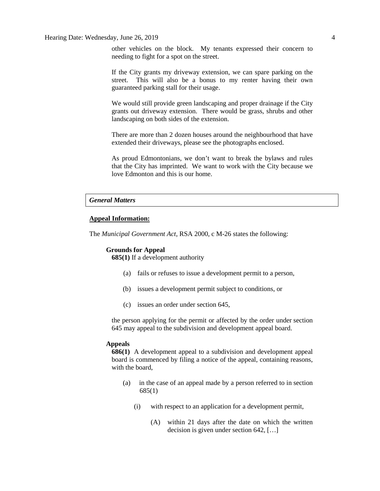other vehicles on the block. My tenants expressed their concern to needing to fight for a spot on the street.

If the City grants my driveway extension, we can spare parking on the street. This will also be a bonus to my renter having their own guaranteed parking stall for their usage.

We would still provide green landscaping and proper drainage if the City grants out driveway extension. There would be grass, shrubs and other landscaping on both sides of the extension.

There are more than 2 dozen houses around the neighbourhood that have extended their driveways, please see the photographs enclosed.

As proud Edmontonians, we don't want to break the bylaws and rules that the City has imprinted. We want to work with the City because we love Edmonton and this is our home.

#### *General Matters*

## **Appeal Information:**

The *Municipal Government Act*, RSA 2000, c M-26 states the following:

#### **Grounds for Appeal**

**685(1)** If a development authority

- (a) fails or refuses to issue a development permit to a person,
- (b) issues a development permit subject to conditions, or
- (c) issues an order under section 645,

the person applying for the permit or affected by the order under section 645 may appeal to the subdivision and development appeal board.

### **Appeals**

**686(1)** A development appeal to a subdivision and development appeal board is commenced by filing a notice of the appeal, containing reasons, with the board,

- (a) in the case of an appeal made by a person referred to in section 685(1)
	- (i) with respect to an application for a development permit,
		- (A) within 21 days after the date on which the written decision is given under section 642, […]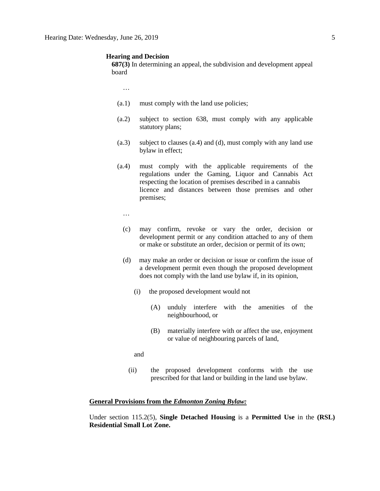#### **Hearing and Decision**

**687(3)** In determining an appeal, the subdivision and development appeal board

…

- (a.1) must comply with the land use policies;
- (a.2) subject to section 638, must comply with any applicable statutory plans;
- (a.3) subject to clauses (a.4) and (d), must comply with any land use bylaw in effect;
- (a.4) must comply with the applicable requirements of the regulations under the Gaming, Liquor and Cannabis Act respecting the location of premises described in a cannabis licence and distances between those premises and other premises;
	- …
	- (c) may confirm, revoke or vary the order, decision or development permit or any condition attached to any of them or make or substitute an order, decision or permit of its own;
	- (d) may make an order or decision or issue or confirm the issue of a development permit even though the proposed development does not comply with the land use bylaw if, in its opinion,
		- (i) the proposed development would not
			- (A) unduly interfere with the amenities of the neighbourhood, or
			- (B) materially interfere with or affect the use, enjoyment or value of neighbouring parcels of land,

and

(ii) the proposed development conforms with the use prescribed for that land or building in the land use bylaw.

#### **General Provisions from the** *Edmonton Zoning Bylaw:*

Under section 115.2(5), **Single Detached Housing** is a **Permitted Use** in the **(RSL) Residential Small Lot Zone.**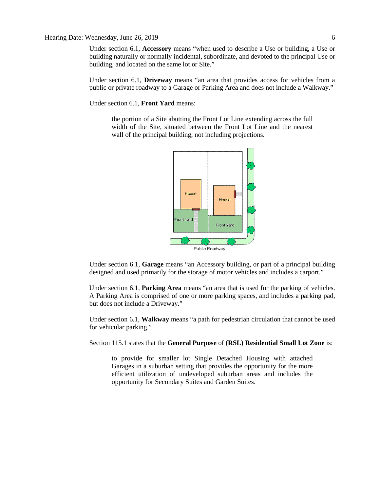#### Hearing Date: Wednesday, June 26, 2019 6

Under section 6.1, **Accessory** means "when used to describe a Use or building, a Use or building naturally or normally incidental, subordinate, and devoted to the principal Use or building, and located on the same lot or Site."

Under section 6.1, **Driveway** means "an area that provides access for vehicles from a public or private roadway to a Garage or Parking Area and does not include a Walkway."

Under section 6.1, **Front Yard** means:

the portion of a Site abutting the Front Lot Line extending across the full width of the Site, situated between the Front Lot Line and the nearest wall of the principal building, not including projections.



Under section 6.1, **Garage** means "an Accessory building, or part of a principal building designed and used primarily for the storage of motor vehicles and includes a carport."

Under section 6.1, **Parking Area** means "an area that is used for the parking of vehicles. A Parking Area is comprised of one or more parking spaces, and includes a parking pad, but does not include a Driveway."

Under section 6.1, **Walkway** means "a path for pedestrian circulation that cannot be used for vehicular parking."

Section 115.1 states that the **General Purpose** of **(RSL) Residential Small Lot Zone** is:

to provide for smaller lot Single Detached Housing with attached Garages in a suburban setting that provides the opportunity for the more efficient utilization of undeveloped suburban areas and includes the opportunity for Secondary Suites and Garden Suites.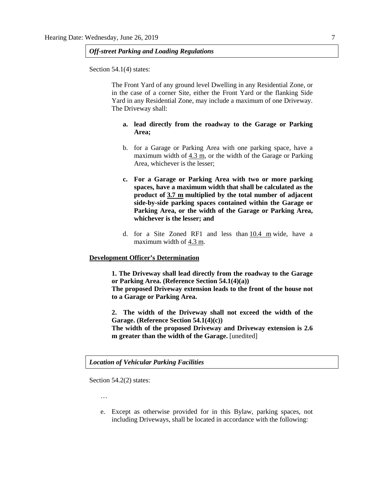# *Off-street Parking and Loading Regulations*

Section 54.1(4) states:

The Front Yard of any ground level Dwelling in any Residential Zone, or in the case of a corner Site, either the Front Yard or the flanking Side Yard in any Residential Zone, may include a maximum of one Driveway. The Driveway shall:

# **a. lead directly from the roadway to the Garage or Parking Area;**

- b. for a Garage or Parking Area with one parking space, have a maximum width of [4.3 m,](javascript:void(0);) or the width of the Garage or Parking Area, whichever is the lesser;
- **c. For a Garage or Parking Area with two or more parking spaces, have a maximum width that shall be calculated as the product of [3.7 m](javascript:void(0);) multiplied by the total number of adjacent side-by-side parking spaces contained within the Garage or Parking Area, or the width of the Garage or Parking Area, whichever is the lesser; and**
- d. for a Site Zoned RF1 and less than [10.4 m](javascript:void(0);) wide, have a maximum width of [4.3 m.](javascript:void(0);)

#### **Development Officer's Determination**

**1. The Driveway shall lead directly from the roadway to the Garage or Parking Area. (Reference Section 54.1(4)(a)) The proposed Driveway extension leads to the front of the house not to a Garage or Parking Area.**

**2. The width of the Driveway shall not exceed the width of the Garage. (Reference Section 54.1(4)(c)) The width of the proposed Driveway and Driveway extension is 2.6 m greater than the width of the Garage.** [unedited]

*Location of Vehicular Parking Facilities* 

Section 54.2(2) states:

…

e. Except as otherwise provided for in this Bylaw, parking spaces, not including Driveways, shall be located in accordance with the following: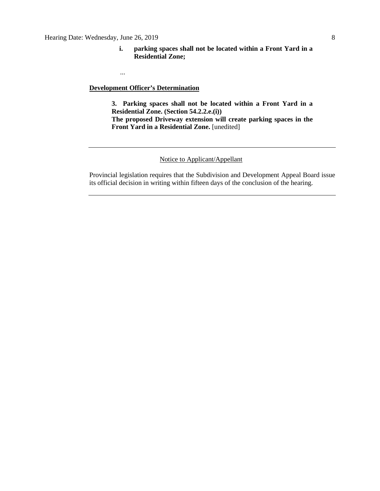**i. parking spaces shall not be located within a Front Yard in a Residential Zone;**

**Development Officer's Determination**

...

**3. Parking spaces shall not be located within a Front Yard in a Residential Zone. (Section 54.2.2.e.(i)) The proposed Driveway extension will create parking spaces in the Front Yard in a Residential Zone.** [unedited]

### Notice to Applicant/Appellant

Provincial legislation requires that the Subdivision and Development Appeal Board issue its official decision in writing within fifteen days of the conclusion of the hearing.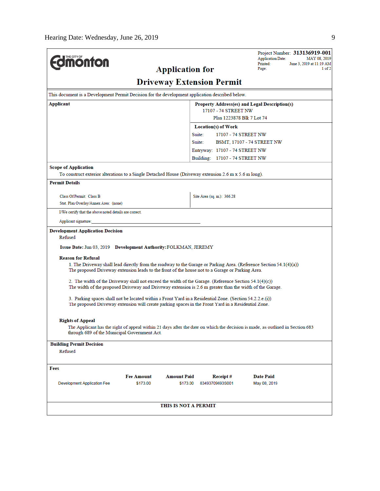|                                                                                                                                                                                                                        |                                                   |                                | Project Number: 313136919-001<br><b>Application Date:</b><br>MAY 08, 2019                                                     |  |  |  |  |
|------------------------------------------------------------------------------------------------------------------------------------------------------------------------------------------------------------------------|---------------------------------------------------|--------------------------------|-------------------------------------------------------------------------------------------------------------------------------|--|--|--|--|
| <b>monton</b>                                                                                                                                                                                                          | <b>Application for</b>                            |                                | Printed:<br>June 3, 2019 at 11:19 AM<br>Page:<br>$1$ of $2$                                                                   |  |  |  |  |
| <b>Driveway Extension Permit</b>                                                                                                                                                                                       |                                                   |                                |                                                                                                                               |  |  |  |  |
| This document is a Development Permit Decision for the development application described below.                                                                                                                        |                                                   |                                |                                                                                                                               |  |  |  |  |
| Applicant                                                                                                                                                                                                              | Property Address(es) and Legal Description(s)     |                                |                                                                                                                               |  |  |  |  |
|                                                                                                                                                                                                                        | 17107 - 74 STREET NW<br>Plan 1223878 Blk 7 Lot 74 |                                |                                                                                                                               |  |  |  |  |
|                                                                                                                                                                                                                        |                                                   | <b>Location(s) of Work</b>     |                                                                                                                               |  |  |  |  |
|                                                                                                                                                                                                                        |                                                   | Suite:<br>17107 - 74 STREET NW |                                                                                                                               |  |  |  |  |
|                                                                                                                                                                                                                        |                                                   | Suite:                         | BSMT, 17107 - 74 STREET NW                                                                                                    |  |  |  |  |
|                                                                                                                                                                                                                        |                                                   | Entryway: 17107 - 74 STREET NW |                                                                                                                               |  |  |  |  |
|                                                                                                                                                                                                                        |                                                   | Building: 17107 - 74 STREET NW |                                                                                                                               |  |  |  |  |
| <b>Scope of Application</b>                                                                                                                                                                                            |                                                   |                                |                                                                                                                               |  |  |  |  |
| To construct exterior alterations to a Single Detached House (Driveway extension 2.6 m x 5.6 m long).                                                                                                                  |                                                   |                                |                                                                                                                               |  |  |  |  |
| <b>Permit Details</b>                                                                                                                                                                                                  |                                                   |                                |                                                                                                                               |  |  |  |  |
| Class Of Permit: Class B                                                                                                                                                                                               |                                                   | Site Area (sq. m.): 366.28     |                                                                                                                               |  |  |  |  |
| Stat. Plan Overlay/Annex Area: (none)                                                                                                                                                                                  |                                                   |                                |                                                                                                                               |  |  |  |  |
| I/We certify that the above noted details are correct.                                                                                                                                                                 |                                                   |                                |                                                                                                                               |  |  |  |  |
| Applicant signature:                                                                                                                                                                                                   |                                                   |                                |                                                                                                                               |  |  |  |  |
| <b>Development Application Decision</b>                                                                                                                                                                                |                                                   |                                |                                                                                                                               |  |  |  |  |
| Refused                                                                                                                                                                                                                |                                                   |                                |                                                                                                                               |  |  |  |  |
| Issue Date: Jun 03, 2019 Development Authority: FOLKMAN, JEREMY                                                                                                                                                        |                                                   |                                |                                                                                                                               |  |  |  |  |
| <b>Reason for Refusal</b>                                                                                                                                                                                              |                                                   |                                |                                                                                                                               |  |  |  |  |
| 1. The Driveway shall lead directly from the roadway to the Garage or Parking Area. (Reference Section 54.1(4)(a))<br>The proposed Driveway extension leads to the front of the house not to a Garage or Parking Area. |                                                   |                                |                                                                                                                               |  |  |  |  |
| 2. The width of the Driveway shall not exceed the width of the Garage. (Reference Section 54.1(4)(c))<br>The width of the proposed Driveway and Driveway extension is 2.6 m greater than the width of the Garage.      |                                                   |                                |                                                                                                                               |  |  |  |  |
| 3. Parking spaces shall not be located within a Front Yard in a Residential Zone. (Section 54.2.2.e.(i))<br>The proposed Driveway extension will create parking spaces in the Front Yard in a Residential Zone.        |                                                   |                                |                                                                                                                               |  |  |  |  |
|                                                                                                                                                                                                                        |                                                   |                                |                                                                                                                               |  |  |  |  |
| <b>Rights of Appeal</b>                                                                                                                                                                                                |                                                   |                                |                                                                                                                               |  |  |  |  |
| through 689 of the Municipal Government Act.                                                                                                                                                                           |                                                   |                                | The Applicant has the right of appeal within 21 days after the date on which the decision is made, as outlined in Section 683 |  |  |  |  |
| <b>Building Permit Decision</b>                                                                                                                                                                                        |                                                   |                                |                                                                                                                               |  |  |  |  |
| Refused                                                                                                                                                                                                                |                                                   |                                |                                                                                                                               |  |  |  |  |
| Fees                                                                                                                                                                                                                   |                                                   |                                |                                                                                                                               |  |  |  |  |
|                                                                                                                                                                                                                        | <b>Fee Amount</b><br><b>Amount Paid</b>           | Receipt#                       | <b>Date Paid</b>                                                                                                              |  |  |  |  |
| <b>Development Application Fee</b>                                                                                                                                                                                     | \$173.00<br>\$173.00                              | 83493709693S001                | May 08, 2019                                                                                                                  |  |  |  |  |
|                                                                                                                                                                                                                        |                                                   |                                |                                                                                                                               |  |  |  |  |
|                                                                                                                                                                                                                        |                                                   |                                |                                                                                                                               |  |  |  |  |
|                                                                                                                                                                                                                        | THIS IS NOT A PERMIT                              |                                |                                                                                                                               |  |  |  |  |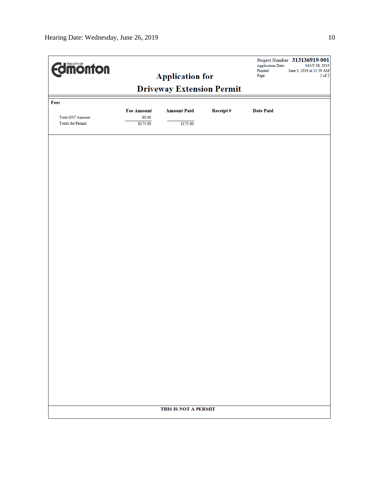| <b>Edinonton</b><br><b>Application for</b> |                             |                    | Project Number: 313136919-001<br><b>Application Date:</b><br>MAY 08, 2019<br>Printed:<br>June 3, 2019 at 11:19 AM<br>Page:<br>$2$ of $2$ |                  |  |
|--------------------------------------------|-----------------------------|--------------------|------------------------------------------------------------------------------------------------------------------------------------------|------------------|--|
| <b>Driveway Extension Permit</b>           |                             |                    |                                                                                                                                          |                  |  |
| Fees                                       |                             |                    |                                                                                                                                          |                  |  |
| <b>Total GST Amount:</b>                   | <b>Fee Amount</b><br>\$0.00 | <b>Amount Paid</b> | Receipt#                                                                                                                                 | <b>Date Paid</b> |  |
| Totals for Permit:                         | \$173.00                    | \$173.00           |                                                                                                                                          |                  |  |
|                                            |                             |                    |                                                                                                                                          |                  |  |
|                                            |                             |                    |                                                                                                                                          |                  |  |
|                                            |                             |                    |                                                                                                                                          |                  |  |
|                                            |                             |                    |                                                                                                                                          |                  |  |
|                                            |                             |                    |                                                                                                                                          |                  |  |
|                                            |                             |                    |                                                                                                                                          |                  |  |
|                                            |                             |                    |                                                                                                                                          |                  |  |
|                                            |                             |                    |                                                                                                                                          |                  |  |
|                                            |                             |                    |                                                                                                                                          |                  |  |
|                                            |                             |                    |                                                                                                                                          |                  |  |
|                                            |                             |                    |                                                                                                                                          |                  |  |
|                                            |                             |                    |                                                                                                                                          |                  |  |
|                                            |                             |                    |                                                                                                                                          |                  |  |
|                                            |                             |                    |                                                                                                                                          |                  |  |
|                                            |                             |                    |                                                                                                                                          |                  |  |
|                                            |                             |                    |                                                                                                                                          |                  |  |
|                                            |                             |                    |                                                                                                                                          |                  |  |
|                                            |                             |                    |                                                                                                                                          |                  |  |
|                                            |                             |                    |                                                                                                                                          |                  |  |
|                                            | THIS IS NOT A PERMIT        |                    |                                                                                                                                          |                  |  |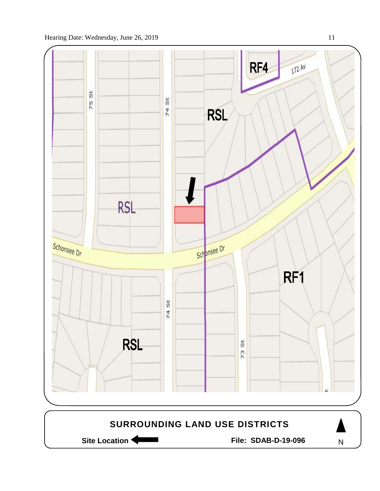

Site Location **Community Contracts** File: SDAB-D-19-096

N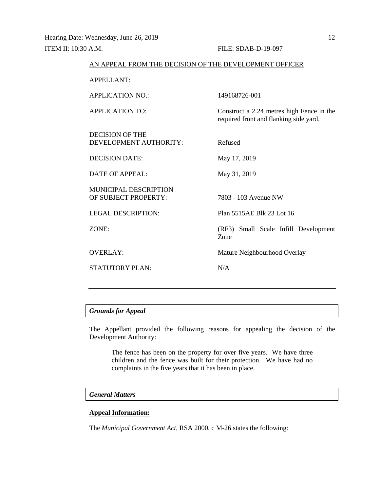| AN APPEAL FROM THE DECISION OF THE DEVELOPMENT OFFICER |                                                                                     |
|--------------------------------------------------------|-------------------------------------------------------------------------------------|
| <b>APPELLANT:</b>                                      |                                                                                     |
| <b>APPLICATION NO.:</b>                                | 149168726-001                                                                       |
| <b>APPLICATION TO:</b>                                 | Construct a 2.24 metres high Fence in the<br>required front and flanking side yard. |
| <b>DECISION OF THE</b><br>DEVELOPMENT AUTHORITY:       | Refused                                                                             |
| <b>DECISION DATE:</b>                                  | May 17, 2019                                                                        |
| <b>DATE OF APPEAL:</b>                                 | May 31, 2019                                                                        |
| <b>MUNICIPAL DESCRIPTION</b><br>OF SUBJECT PROPERTY:   | 7803 - 103 Avenue NW                                                                |
| <b>LEGAL DESCRIPTION:</b>                              | Plan 5515AE Blk 23 Lot 16                                                           |
| ZONE:                                                  | (RF3) Small Scale Infill Development<br>Zone                                        |
| <b>OVERLAY:</b>                                        | Mature Neighbourhood Overlay                                                        |
| <b>STATUTORY PLAN:</b>                                 | N/A                                                                                 |
|                                                        |                                                                                     |

# *Grounds for Appeal*

The Appellant provided the following reasons for appealing the decision of the Development Authority:

The fence has been on the property for over five years. We have three children and the fence was built for their protection. We have had no complaints in the five years that it has been in place.

# *General Matters*

# **Appeal Information:**

The *Municipal Government Act*, RSA 2000, c M-26 states the following: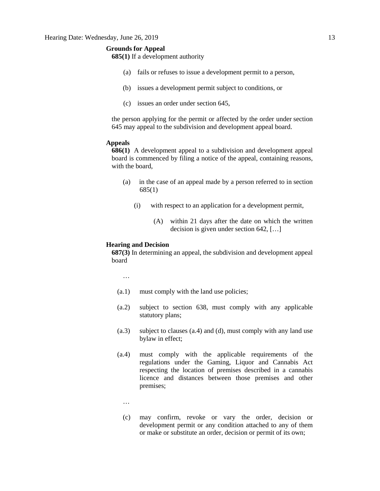## **Grounds for Appeal**

**685(1)** If a development authority

- (a) fails or refuses to issue a development permit to a person,
- (b) issues a development permit subject to conditions, or
- (c) issues an order under section 645,

the person applying for the permit or affected by the order under section 645 may appeal to the subdivision and development appeal board.

## **Appeals**

**686(1)** A development appeal to a subdivision and development appeal board is commenced by filing a notice of the appeal, containing reasons, with the board,

- (a) in the case of an appeal made by a person referred to in section 685(1)
	- (i) with respect to an application for a development permit,
		- (A) within 21 days after the date on which the written decision is given under section 642, […]

#### **Hearing and Decision**

**687(3)** In determining an appeal, the subdivision and development appeal board

…

- (a.1) must comply with the land use policies;
- (a.2) subject to section 638, must comply with any applicable statutory plans;
- (a.3) subject to clauses (a.4) and (d), must comply with any land use bylaw in effect;
- (a.4) must comply with the applicable requirements of the regulations under the Gaming, Liquor and Cannabis Act respecting the location of premises described in a cannabis licence and distances between those premises and other premises;
	- …
	- (c) may confirm, revoke or vary the order, decision or development permit or any condition attached to any of them or make or substitute an order, decision or permit of its own;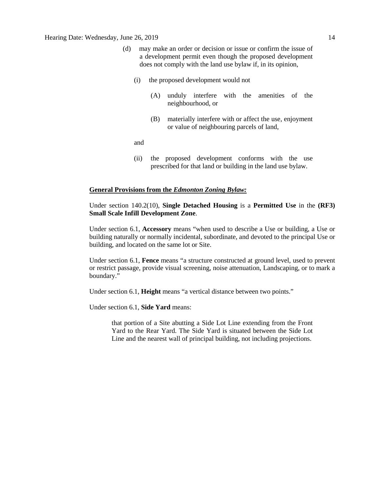- (d) may make an order or decision or issue or confirm the issue of a development permit even though the proposed development does not comply with the land use bylaw if, in its opinion,
	- (i) the proposed development would not
		- (A) unduly interfere with the amenities of the neighbourhood, or
		- (B) materially interfere with or affect the use, enjoyment or value of neighbouring parcels of land,

and

(ii) the proposed development conforms with the use prescribed for that land or building in the land use bylaw.

### **General Provisions from the** *Edmonton Zoning Bylaw:*

Under section 140.2(10), **Single Detached Housing** is a **Permitted Use** in the **(RF3) Small Scale Infill Development Zone**.

Under section 6.1, **Accessory** means "when used to describe a Use or building, a Use or building naturally or normally incidental, subordinate, and devoted to the principal Use or building, and located on the same lot or Site.

Under section 6.1, **Fence** means "a structure constructed at ground level, used to prevent or restrict passage, provide visual screening, noise attenuation, Landscaping, or to mark a boundary."

Under section 6.1, **Height** means "a vertical distance between two points."

Under section 6.1, **Side Yard** means:

that portion of a Site abutting a Side Lot Line extending from the Front Yard to the Rear Yard. The Side Yard is situated between the Side Lot Line and the nearest wall of principal building, not including projections.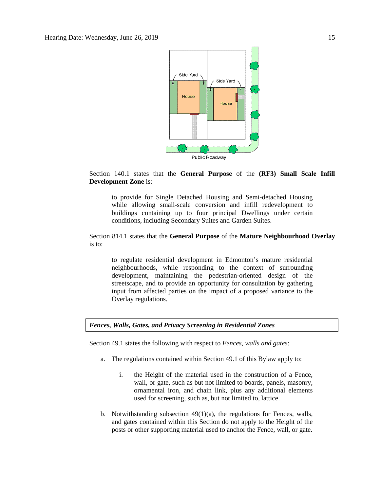

## Section 140.1 states that the **General Purpose** of the **(RF3) Small Scale Infill Development Zone** is:

to provide for Single Detached Housing and Semi-detached Housing while allowing small-scale conversion and infill redevelopment to buildings containing up to four principal Dwellings under certain conditions, including Secondary Suites and Garden Suites.

# Section 814.1 states that the **General Purpose** of the **Mature Neighbourhood Overlay** is to:

to regulate residential development in Edmonton's mature residential neighbourhoods, while responding to the context of surrounding development, maintaining the pedestrian-oriented design of the streetscape, and to provide an opportunity for consultation by gathering input from affected parties on the impact of a proposed variance to the Overlay regulations.

## *Fences, Walls, Gates, and Privacy Screening in Residential Zones*

Section 49.1 states the following with respect to *Fences, walls and gates*:

- a. The regulations contained within Section 49.1 of this Bylaw apply to:
	- i. the Height of the material used in the construction of a Fence, wall, or gate, such as but not limited to boards, panels, masonry, ornamental iron, and chain link, plus any additional elements used for screening, such as, but not limited to, lattice.
- b. Notwithstanding subsection 49(1)(a), the regulations for Fences, walls, and gates contained within this Section do not apply to the Height of the posts or other supporting material used to anchor the Fence, wall, or gate.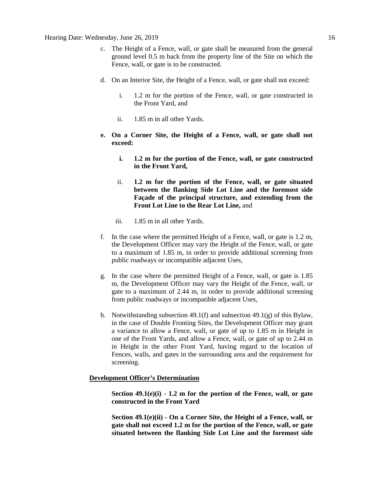- c. The Height of a Fence, wall, or gate shall be measured from the general ground level 0.5 m back from the property line of the Site on which the Fence, wall, or gate is to be constructed.
- d. On an Interior Site, the Height of a Fence, wall, or gate shall not exceed:
	- i. 1.2 m for the portion of the Fence, wall, or gate constructed in the Front Yard, and
	- ii. 1.85 m in all other Yards.
- **e. On a Corner Site, the Height of a Fence, wall, or gate shall not exceed:**
	- **i. 1.2 m for the portion of the Fence, wall, or gate constructed in the Front Yard,**
	- ii. **1.2 m for the portion of the Fence, wall, or gate situated between the flanking Side Lot Line and the foremost side Façade of the principal structure, and extending from the Front Lot Line to the Rear Lot Line,** and
	- iii. 1.85 m in all other Yards.
- f. In the case where the permitted Height of a Fence, wall, or gate is 1.2 m, the Development Officer may vary the Height of the Fence, wall, or gate to a maximum of 1.85 m, in order to provide additional screening from public roadways or incompatible adjacent Uses,
- g. In the case where the permitted Height of a Fence, wall, or gate is 1.85 m, the Development Officer may vary the Height of the Fence, wall, or gate to a maximum of 2.44 m, in order to provide additional screening from public roadways or incompatible adjacent Uses,
- h. Notwithstanding subsection 49.1(f) and subsection 49.1(g) of this Bylaw, in the case of Double Fronting Sites, the Development Officer may grant a variance to allow a Fence, wall, or gate of up to 1.85 m in Height in one of the Front Yards, and allow a Fence, wall, or gate of up to 2.44 m in Height in the other Front Yard, having regard to the location of Fences, walls, and gates in the surrounding area and the requirement for screening.

# **Development Officer's Determination**

**Section 49.1(e)(i) - 1.2 m for the portion of the Fence, wall, or gate constructed in the Front Yard**

**Section 49.1(e)(ii) - On a Corner Site, the Height of a Fence, wall, or gate shall not exceed 1.2 m for the portion of the Fence, wall, or gate situated between the flanking Side Lot Line and the foremost side**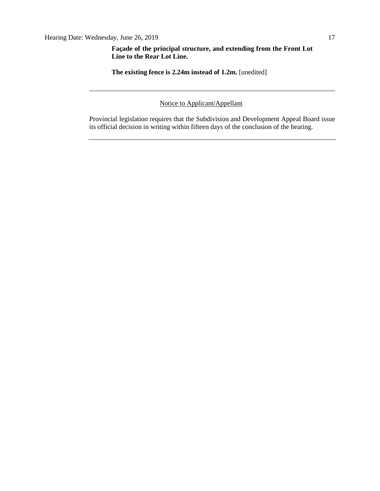**Façade of the principal structure, and extending from the Front Lot Line to the Rear Lot Line.** 

**The existing fence is 2.24m instead of 1.2m.** [unedited]

Notice to Applicant/Appellant

Provincial legislation requires that the Subdivision and Development Appeal Board issue its official decision in writing within fifteen days of the conclusion of the hearing.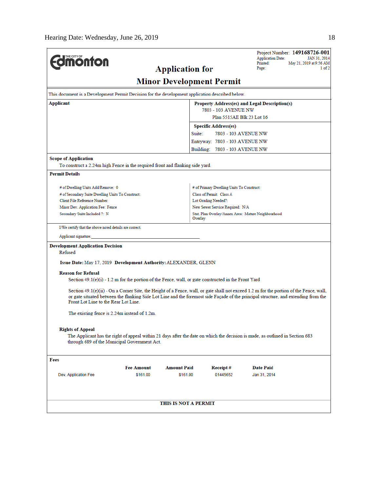| <b>ionton</b>                                                                                   |                                                                                                                                                                                                                                                                                |                        |                                                         | <b>Application Date:</b><br>Printed:          | Project Number: 149168726-001<br>JAN 31, 2014<br>May 21, 2019 at 9:56 AM |  |  |
|-------------------------------------------------------------------------------------------------|--------------------------------------------------------------------------------------------------------------------------------------------------------------------------------------------------------------------------------------------------------------------------------|------------------------|---------------------------------------------------------|-----------------------------------------------|--------------------------------------------------------------------------|--|--|
|                                                                                                 |                                                                                                                                                                                                                                                                                | <b>Application for</b> |                                                         | Page:                                         | 1 of 2                                                                   |  |  |
| <b>Minor Development Permit</b>                                                                 |                                                                                                                                                                                                                                                                                |                        |                                                         |                                               |                                                                          |  |  |
| This document is a Development Permit Decision for the development application described below. |                                                                                                                                                                                                                                                                                |                        |                                                         |                                               |                                                                          |  |  |
| Applicant                                                                                       |                                                                                                                                                                                                                                                                                |                        |                                                         | Property Address(es) and Legal Description(s) |                                                                          |  |  |
|                                                                                                 | 7803 - 103 AVENUE NW<br>Plan 5515AE Blk 23 Lot 16                                                                                                                                                                                                                              |                        |                                                         |                                               |                                                                          |  |  |
|                                                                                                 |                                                                                                                                                                                                                                                                                |                        |                                                         |                                               |                                                                          |  |  |
|                                                                                                 |                                                                                                                                                                                                                                                                                | Suite:                 | <b>Specific Address(es)</b>                             | 7803 - 103 AVENUE NW                          |                                                                          |  |  |
|                                                                                                 |                                                                                                                                                                                                                                                                                |                        | Entryway: 7803 - 103 AVENUE NW                          |                                               |                                                                          |  |  |
|                                                                                                 |                                                                                                                                                                                                                                                                                |                        | Building: 7803 - 103 AVENUE NW                          |                                               |                                                                          |  |  |
| <b>Scope of Application</b>                                                                     |                                                                                                                                                                                                                                                                                |                        |                                                         |                                               |                                                                          |  |  |
| To construct a 2.24m high Fence in the required front and flanking side yard.                   |                                                                                                                                                                                                                                                                                |                        |                                                         |                                               |                                                                          |  |  |
| <b>Permit Details</b>                                                                           |                                                                                                                                                                                                                                                                                |                        |                                                         |                                               |                                                                          |  |  |
|                                                                                                 |                                                                                                                                                                                                                                                                                |                        |                                                         |                                               |                                                                          |  |  |
| # of Dwelling Units Add/Remove: 0                                                               |                                                                                                                                                                                                                                                                                |                        | # of Primary Dwelling Units To Construct:               |                                               |                                                                          |  |  |
| # of Secondary Suite Dwelling Units To Construct:<br>Client File Reference Number:              |                                                                                                                                                                                                                                                                                |                        | Class of Permit: Class A                                |                                               |                                                                          |  |  |
| Minor Dev. Application Fee: Fence                                                               |                                                                                                                                                                                                                                                                                |                        | Lot Grading Needed?:<br>New Sewer Service Required: N/A |                                               |                                                                          |  |  |
| Secondary Suite Included ?: N                                                                   |                                                                                                                                                                                                                                                                                |                        | Stat. Plan Overlay/Annex Area: Mature Neighbourhood     |                                               |                                                                          |  |  |
|                                                                                                 |                                                                                                                                                                                                                                                                                | Overlay                |                                                         |                                               |                                                                          |  |  |
| I/We certify that the above noted details are correct.                                          |                                                                                                                                                                                                                                                                                |                        |                                                         |                                               |                                                                          |  |  |
| Applicant signature:                                                                            |                                                                                                                                                                                                                                                                                |                        |                                                         |                                               |                                                                          |  |  |
| <b>Development Application Decision</b>                                                         |                                                                                                                                                                                                                                                                                |                        |                                                         |                                               |                                                                          |  |  |
| Refused                                                                                         |                                                                                                                                                                                                                                                                                |                        |                                                         |                                               |                                                                          |  |  |
| Issue Date: May 17, 2019 Development Authority: ALEXANDER, GLENN                                |                                                                                                                                                                                                                                                                                |                        |                                                         |                                               |                                                                          |  |  |
| <b>Reason for Refusal</b>                                                                       |                                                                                                                                                                                                                                                                                |                        |                                                         |                                               |                                                                          |  |  |
|                                                                                                 | Section $49.1(e)(i) - 1.2$ m for the portion of the Fence, wall, or gate constructed in the Front Yard                                                                                                                                                                         |                        |                                                         |                                               |                                                                          |  |  |
|                                                                                                 |                                                                                                                                                                                                                                                                                |                        |                                                         |                                               |                                                                          |  |  |
| Front Lot Line to the Rear Lot Line.                                                            | Section 49.1(e)(ii) - On a Corner Site, the Height of a Fence, wall, or gate shall not exceed 1.2 m for the portion of the Fence, wall,<br>or gate situated between the flanking Side Lot Line and the foremost side Façade of the principal structure, and extending from the |                        |                                                         |                                               |                                                                          |  |  |
| The existing fence is 2.24m instead of 1.2m.                                                    |                                                                                                                                                                                                                                                                                |                        |                                                         |                                               |                                                                          |  |  |
|                                                                                                 |                                                                                                                                                                                                                                                                                |                        |                                                         |                                               |                                                                          |  |  |
| <b>Rights of Appeal</b>                                                                         | The Applicant has the right of appeal within 21 days after the date on which the decision is made, as outlined in Section 683<br>through 689 of the Municipal Government Act.                                                                                                  |                        |                                                         |                                               |                                                                          |  |  |
| Fees                                                                                            |                                                                                                                                                                                                                                                                                |                        |                                                         |                                               |                                                                          |  |  |
|                                                                                                 | <b>Fee Amount</b>                                                                                                                                                                                                                                                              | <b>Amount Paid</b>     | Receipt#                                                | <b>Date Paid</b>                              |                                                                          |  |  |
| Dev. Application Fee                                                                            | \$161.00                                                                                                                                                                                                                                                                       | \$161.00               | 01445652                                                | Jan 31, 2014                                  |                                                                          |  |  |
|                                                                                                 |                                                                                                                                                                                                                                                                                |                        |                                                         |                                               |                                                                          |  |  |
|                                                                                                 |                                                                                                                                                                                                                                                                                | THIS IS NOT A PERMIT   |                                                         |                                               |                                                                          |  |  |
|                                                                                                 |                                                                                                                                                                                                                                                                                |                        |                                                         |                                               |                                                                          |  |  |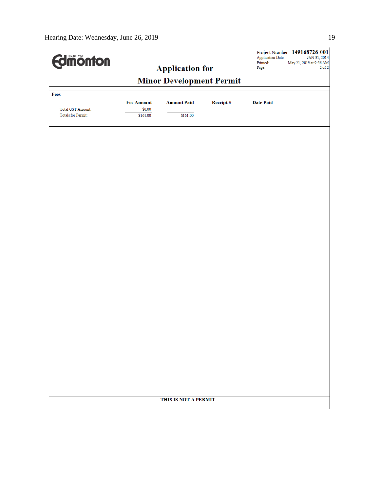| <b>Edimonton</b>                                      |                    |                        | <b>Application Date:</b><br>Printed: | Project Number: 149168726-001<br>JAN 31, 2014<br>May 21, 2019 at 9:56 AM |              |  |
|-------------------------------------------------------|--------------------|------------------------|--------------------------------------|--------------------------------------------------------------------------|--------------|--|
|                                                       |                    | <b>Application for</b> |                                      | Page:                                                                    | $2$ of $2\,$ |  |
| <b>Minor Development Permit</b>                       |                    |                        |                                      |                                                                          |              |  |
| Fees                                                  |                    |                        |                                      |                                                                          |              |  |
|                                                       | <b>Fee Amount</b>  | <b>Amount Paid</b>     | Receipt#                             | <b>Date Paid</b>                                                         |              |  |
| <b>Total GST Amount:</b><br><b>Totals for Permit:</b> | \$0.00<br>\$161.00 | \$161.00               |                                      |                                                                          |              |  |
|                                                       |                    |                        |                                      |                                                                          |              |  |
|                                                       |                    |                        |                                      |                                                                          |              |  |
|                                                       |                    |                        |                                      |                                                                          |              |  |
|                                                       |                    |                        |                                      |                                                                          |              |  |
|                                                       |                    |                        |                                      |                                                                          |              |  |
|                                                       |                    |                        |                                      |                                                                          |              |  |
|                                                       |                    |                        |                                      |                                                                          |              |  |
|                                                       |                    |                        |                                      |                                                                          |              |  |
|                                                       |                    |                        |                                      |                                                                          |              |  |
|                                                       |                    |                        |                                      |                                                                          |              |  |
|                                                       |                    |                        |                                      |                                                                          |              |  |
|                                                       |                    |                        |                                      |                                                                          |              |  |
|                                                       |                    |                        |                                      |                                                                          |              |  |
|                                                       |                    |                        |                                      |                                                                          |              |  |
|                                                       |                    |                        |                                      |                                                                          |              |  |
|                                                       |                    |                        |                                      |                                                                          |              |  |
|                                                       |                    |                        |                                      |                                                                          |              |  |
|                                                       |                    |                        |                                      |                                                                          |              |  |
|                                                       |                    |                        |                                      |                                                                          |              |  |
|                                                       |                    |                        |                                      |                                                                          |              |  |
|                                                       |                    |                        |                                      |                                                                          |              |  |
|                                                       |                    |                        |                                      |                                                                          |              |  |
|                                                       |                    |                        |                                      |                                                                          |              |  |
|                                                       |                    |                        |                                      |                                                                          |              |  |
|                                                       |                    |                        |                                      |                                                                          |              |  |
|                                                       |                    |                        |                                      |                                                                          |              |  |
|                                                       |                    |                        |                                      |                                                                          |              |  |
|                                                       |                    |                        |                                      |                                                                          |              |  |
|                                                       |                    |                        |                                      |                                                                          |              |  |
|                                                       |                    |                        |                                      |                                                                          |              |  |
|                                                       |                    | THIS IS NOT A PERMIT   |                                      |                                                                          |              |  |
|                                                       |                    |                        |                                      |                                                                          |              |  |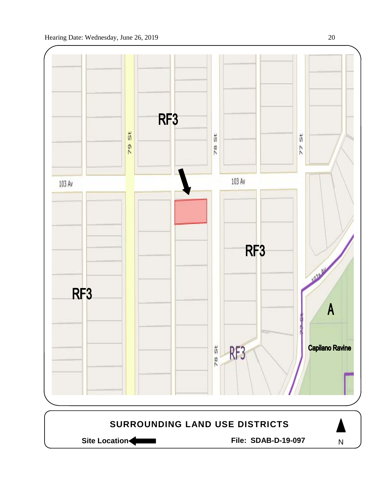

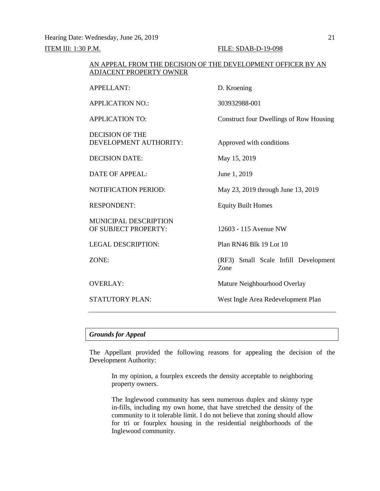Hearing Date: Wednesday, June 26, 2019 21

**ITEM III: 1:30 P.M. FILE: SDAB-D-19-098** 

| AN APPEAL FROM THE DECISION OF THE DEVELOPMENT OFFICER BY AN<br>ADJACENT PROPERTY OWNER |                                                |  |  |  |
|-----------------------------------------------------------------------------------------|------------------------------------------------|--|--|--|
| <b>APPELLANT:</b>                                                                       | D. Kroening                                    |  |  |  |
| <b>APPLICATION NO.:</b>                                                                 | 303932988-001                                  |  |  |  |
| <b>APPLICATION TO:</b>                                                                  | <b>Construct four Dwellings of Row Housing</b> |  |  |  |
| <b>DECISION OF THE</b><br>DEVELOPMENT AUTHORITY:                                        | Approved with conditions                       |  |  |  |
| <b>DECISION DATE:</b>                                                                   | May 15, 2019                                   |  |  |  |
| DATE OF APPEAL:                                                                         | June 1, 2019                                   |  |  |  |
| <b>NOTIFICATION PERIOD:</b>                                                             | May 23, 2019 through June 13, 2019             |  |  |  |
| <b>RESPONDENT:</b>                                                                      | <b>Equity Built Homes</b>                      |  |  |  |
| MUNICIPAL DESCRIPTION<br>OF SUBJECT PROPERTY:                                           | 12603 - 115 Avenue NW                          |  |  |  |
| <b>LEGAL DESCRIPTION:</b>                                                               | Plan RN46 Blk 19 Lot 10                        |  |  |  |
| ZONE:                                                                                   | (RF3) Small Scale Infill Development<br>Zone   |  |  |  |
| <b>OVERLAY:</b>                                                                         | Mature Neighbourhood Overlay                   |  |  |  |
| <b>STATUTORY PLAN:</b>                                                                  | West Ingle Area Redevelopment Plan             |  |  |  |
|                                                                                         |                                                |  |  |  |

# *Grounds for Appeal*

The Appellant provided the following reasons for appealing the decision of the Development Authority:

In my opinion, a fourplex exceeds the density acceptable to neighboring property owners.

The Inglewood community has seen numerous duplex and skinny type in-fills, including my own home, that have stretched the density of the community to it tolerable limit. I do not believe that zoning should allow for tri or fourplex housing in the residential neighborhoods of the Inglewood community.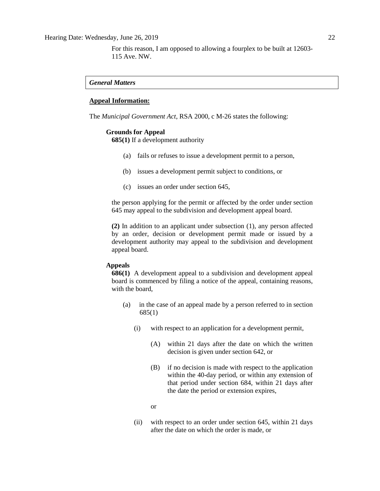For this reason, I am opposed to allowing a fourplex to be built at 12603- 115 Ave. NW.

# *General Matters*

#### **Appeal Information:**

The *Municipal Government Act*, RSA 2000, c M-26 states the following:

#### **Grounds for Appeal**

**685(1)** If a development authority

- (a) fails or refuses to issue a development permit to a person,
- (b) issues a development permit subject to conditions, or
- (c) issues an order under section 645,

the person applying for the permit or affected by the order under section 645 may appeal to the subdivision and development appeal board.

**(2)** In addition to an applicant under subsection (1), any person affected by an order, decision or development permit made or issued by a development authority may appeal to the subdivision and development appeal board.

### **Appeals**

**686(1)** A development appeal to a subdivision and development appeal board is commenced by filing a notice of the appeal, containing reasons, with the board,

- (a) in the case of an appeal made by a person referred to in section 685(1)
	- (i) with respect to an application for a development permit,
		- (A) within 21 days after the date on which the written decision is given under section 642, or
		- (B) if no decision is made with respect to the application within the 40-day period, or within any extension of that period under section 684, within 21 days after the date the period or extension expires,

or

(ii) with respect to an order under section 645, within 21 days after the date on which the order is made, or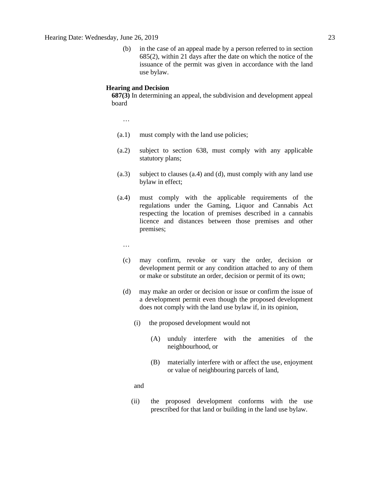(b) in the case of an appeal made by a person referred to in section 685(2), within 21 days after the date on which the notice of the issuance of the permit was given in accordance with the land use bylaw.

#### **Hearing and Decision**

**687(3)** In determining an appeal, the subdivision and development appeal board

…

- (a.1) must comply with the land use policies;
- (a.2) subject to section 638, must comply with any applicable statutory plans;
- (a.3) subject to clauses (a.4) and (d), must comply with any land use bylaw in effect;
- (a.4) must comply with the applicable requirements of the regulations under the Gaming, Liquor and Cannabis Act respecting the location of premises described in a cannabis licence and distances between those premises and other premises;
	- …
	- (c) may confirm, revoke or vary the order, decision or development permit or any condition attached to any of them or make or substitute an order, decision or permit of its own;
	- (d) may make an order or decision or issue or confirm the issue of a development permit even though the proposed development does not comply with the land use bylaw if, in its opinion,
		- (i) the proposed development would not
			- (A) unduly interfere with the amenities of the neighbourhood, or
			- (B) materially interfere with or affect the use, enjoyment or value of neighbouring parcels of land,

and

(ii) the proposed development conforms with the use prescribed for that land or building in the land use bylaw.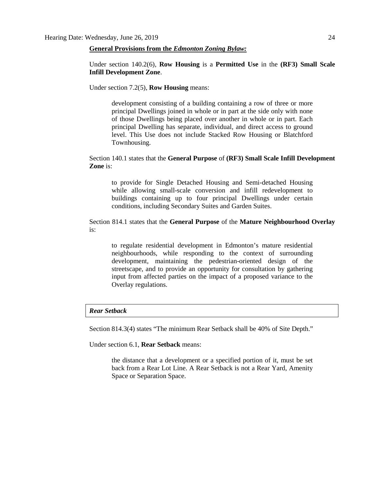#### **General Provisions from the** *Edmonton Zoning Bylaw:*

Under section 140.2(6), **Row Housing** is a **Permitted Use** in the **(RF3) Small Scale Infill Development Zone**.

Under section 7.2(5), **Row Housing** means:

development consisting of a building containing a row of three or more principal Dwellings joined in whole or in part at the side only with none of those Dwellings being placed over another in whole or in part. Each principal Dwelling has separate, individual, and direct access to ground level. This Use does not include Stacked Row Housing or Blatchford Townhousing.

# Section 140.1 states that the **General Purpose** of **(RF3) Small Scale Infill Development Zone** is:

to provide for Single Detached Housing and Semi-detached Housing while allowing small-scale conversion and infill redevelopment to buildings containing up to four principal Dwellings under certain conditions, including Secondary Suites and Garden Suites.

# Section 814.1 states that the **General Purpose** of the **Mature Neighbourhood Overlay** is:

to regulate residential development in Edmonton's mature residential neighbourhoods, while responding to the context of surrounding development, maintaining the pedestrian-oriented design of the streetscape, and to provide an opportunity for consultation by gathering input from affected parties on the impact of a proposed variance to the Overlay regulations.

# *Rear Setback*

Section 814.3(4) states "The minimum Rear Setback shall be 40% of Site Depth."

Under section 6.1, **Rear Setback** means:

the distance that a development or a specified portion of it, must be set back from a Rear Lot Line. A Rear Setback is not a Rear Yard, Amenity Space or Separation Space.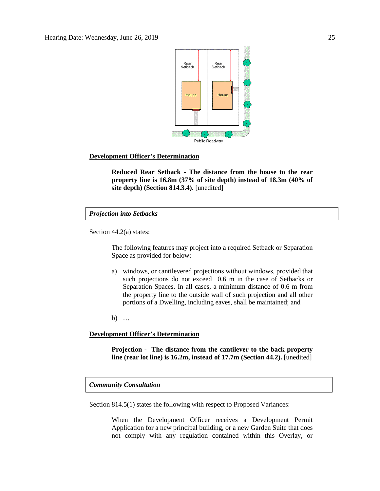

# **Development Officer's Determination**

**Reduced Rear Setback - The distance from the house to the rear property line is 16.8m (37% of site depth) instead of 18.3m (40% of site depth) (Section 814.3.4).** [unedited]

## *Projection into Setbacks*

Section 44.2(a) states:

The following features may project into a required Setback or Separation Space as provided for below:

a) windows, or cantilevered projections without windows, provided that such projections do not exceed  $0.6 \text{ m}$  in the case of Setbacks or Separation Spaces. In all cases, a minimum distance of 0.6 m from the property line to the outside wall of such projection and all other portions of a Dwelling, including eaves, shall be maintained; and

b) …

## **Development Officer's Determination**

**Projection - The distance from the cantilever to the back property line (rear lot line) is 16.2m, instead of 17.7m (Section 44.2).** [unedited]

# *Community Consultation*

Section 814.5(1) states the following with respect to Proposed Variances:

When the Development Officer receives a Development Permit Application for a new principal building, or a new Garden Suite that does not comply with any regulation contained within this Overlay, or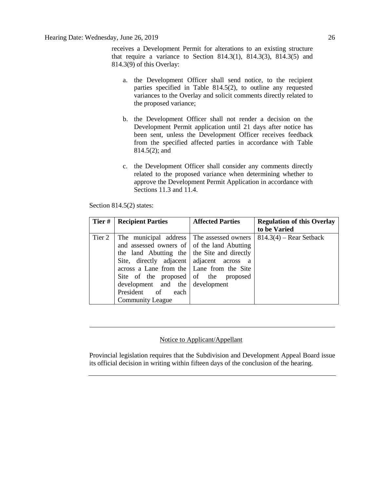receives a Development Permit for alterations to an existing structure that require a variance to Section 814.3(1), 814.3(3), 814.3(5) and 814.3(9) of this Overlay:

- a. the Development Officer shall send notice, to the recipient parties specified in Table 814.5(2), to outline any requested variances to the Overlay and solicit comments directly related to the proposed variance;
- b. the Development Officer shall not render a decision on the Development Permit application until 21 days after notice has been sent, unless the Development Officer receives feedback from the specified affected parties in accordance with Table 814.5(2); and
- c. the Development Officer shall consider any comments directly related to the proposed variance when determining whether to approve the Development Permit Application in accordance with Sections 11.3 and 11.4.

| Tier#  | <b>Recipient Parties</b>                                                                                                                                                                                                                                                                                                               | <b>Affected Parties</b> | <b>Regulation of this Overlay</b><br>to be Varied |
|--------|----------------------------------------------------------------------------------------------------------------------------------------------------------------------------------------------------------------------------------------------------------------------------------------------------------------------------------------|-------------------------|---------------------------------------------------|
| Tier 2 | The municipal address The assessed owners<br>and assessed owners of of the land Abutting<br>the land Abutting the   the Site and directly<br>Site, directly adjacent adjacent across a<br>across a Lane from the Lane from the Site<br>Site of the proposed of the proposed<br>development and the development<br>President of<br>each |                         | $814.3(4)$ – Rear Setback                         |

Section 814.5(2) states:

Community League

## Notice to Applicant/Appellant

Provincial legislation requires that the Subdivision and Development Appeal Board issue its official decision in writing within fifteen days of the conclusion of the hearing.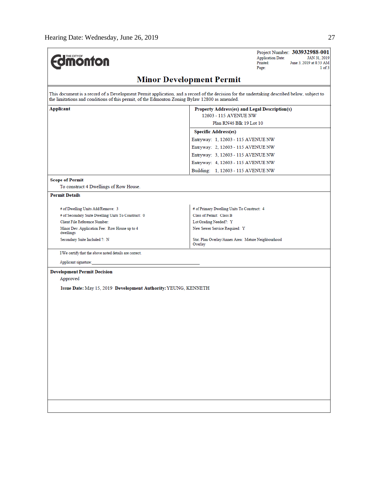| <b>Imonton</b>                                                                                | Project Number: 303932988-001<br><b>Application Date:</b><br>JAN 31, 2019<br>Printed:<br>June 3, 2019 at 8:53 AM<br>$1$ of $3$<br>Page:     |  |  |  |  |
|-----------------------------------------------------------------------------------------------|---------------------------------------------------------------------------------------------------------------------------------------------|--|--|--|--|
| <b>Minor Development Permit</b>                                                               |                                                                                                                                             |  |  |  |  |
| the limitations and conditions of this permit, of the Edmonton Zoning Bylaw 12800 as amended. | This document is a record of a Development Permit application, and a record of the decision for the undertaking described below, subject to |  |  |  |  |
| Applicant                                                                                     | Property Address(es) and Legal Description(s)                                                                                               |  |  |  |  |
|                                                                                               | 12603 - 115 AVENUE NW                                                                                                                       |  |  |  |  |
|                                                                                               | Plan RN46 Blk 19 Lot 10                                                                                                                     |  |  |  |  |
|                                                                                               | <b>Specific Address(es)</b>                                                                                                                 |  |  |  |  |
|                                                                                               | Entryway: 1, 12603 - 115 AVENUE NW                                                                                                          |  |  |  |  |
|                                                                                               | Entryway: 2, 12603 - 115 AVENUE NW                                                                                                          |  |  |  |  |
|                                                                                               | Entryway: 3, 12603 - 115 AVENUE NW                                                                                                          |  |  |  |  |
|                                                                                               | Entryway: 4, 12603 - 115 AVENUE NW                                                                                                          |  |  |  |  |
|                                                                                               | Building: 1, 12603 - 115 AVENUE NW                                                                                                          |  |  |  |  |
| <b>Scope of Permit</b>                                                                        |                                                                                                                                             |  |  |  |  |
| To construct 4 Dwellings of Row House.                                                        |                                                                                                                                             |  |  |  |  |
| <b>Permit Details</b>                                                                         |                                                                                                                                             |  |  |  |  |
| # of Dwelling Units Add/Remove: 3                                                             | # of Primary Dwelling Units To Construct: 4                                                                                                 |  |  |  |  |
| # of Secondary Suite Dwelling Units To Construct: 0                                           | Class of Permit: Class B                                                                                                                    |  |  |  |  |
| Client File Reference Number:                                                                 | Lot Grading Needed?: Y                                                                                                                      |  |  |  |  |
| Minor Dev. Application Fee: Row House up to 4<br>dwellings                                    | New Sewer Service Required: Y                                                                                                               |  |  |  |  |
| Secondary Suite Included ?: N                                                                 | Stat. Plan Overlay/Annex Area: Mature Neighbourhood<br>Overlay                                                                              |  |  |  |  |
| I/We certify that the above noted details are correct.                                        |                                                                                                                                             |  |  |  |  |
| Applicant signature:                                                                          |                                                                                                                                             |  |  |  |  |
| <b>Development Permit Decision</b>                                                            |                                                                                                                                             |  |  |  |  |
| Approved                                                                                      |                                                                                                                                             |  |  |  |  |
| Issue Date: May 15, 2019 Development Authority: YEUNG, KENNETH                                |                                                                                                                                             |  |  |  |  |
|                                                                                               |                                                                                                                                             |  |  |  |  |
|                                                                                               |                                                                                                                                             |  |  |  |  |
|                                                                                               |                                                                                                                                             |  |  |  |  |
|                                                                                               |                                                                                                                                             |  |  |  |  |
|                                                                                               |                                                                                                                                             |  |  |  |  |
|                                                                                               |                                                                                                                                             |  |  |  |  |
|                                                                                               |                                                                                                                                             |  |  |  |  |
|                                                                                               |                                                                                                                                             |  |  |  |  |
|                                                                                               |                                                                                                                                             |  |  |  |  |
|                                                                                               |                                                                                                                                             |  |  |  |  |
|                                                                                               |                                                                                                                                             |  |  |  |  |
|                                                                                               |                                                                                                                                             |  |  |  |  |
|                                                                                               |                                                                                                                                             |  |  |  |  |
|                                                                                               |                                                                                                                                             |  |  |  |  |
|                                                                                               |                                                                                                                                             |  |  |  |  |
|                                                                                               |                                                                                                                                             |  |  |  |  |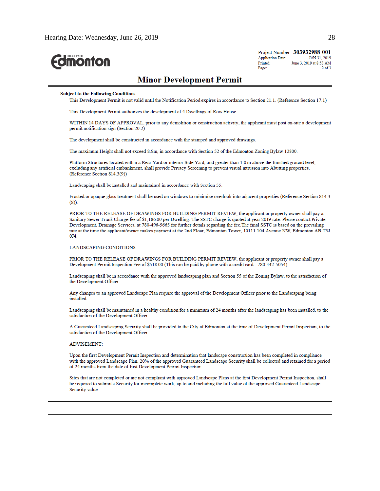| <b>Umonton</b>                                                                                                                                                                                                                                                                                                                                                                                                                                                                                                      | Project Number: 303932988-001<br><b>Application Date:</b><br>JAN 31, 2019<br>Printed:<br>June 3, 2019 at 8:53 AM<br>$2$ of $3$<br>Page: |
|---------------------------------------------------------------------------------------------------------------------------------------------------------------------------------------------------------------------------------------------------------------------------------------------------------------------------------------------------------------------------------------------------------------------------------------------------------------------------------------------------------------------|-----------------------------------------------------------------------------------------------------------------------------------------|
| <b>Minor Development Permit</b>                                                                                                                                                                                                                                                                                                                                                                                                                                                                                     |                                                                                                                                         |
| <b>Subject to the Following Conditions</b><br>This Development Permit is not valid until the Notification Period expires in accordance to Section 21.1. (Reference Section 17.1)                                                                                                                                                                                                                                                                                                                                    |                                                                                                                                         |
| This Development Permit authorizes the development of 4 Dwellings of Row House.                                                                                                                                                                                                                                                                                                                                                                                                                                     |                                                                                                                                         |
| WITHIN 14 DAYS OF APPROVAL, prior to any demolition or construction activity, the applicant must post on-site a developmen<br>permit notification sign (Section 20.2)                                                                                                                                                                                                                                                                                                                                               |                                                                                                                                         |
| The development shall be constructed in accordance with the stamped and approved drawings.                                                                                                                                                                                                                                                                                                                                                                                                                          |                                                                                                                                         |
| The maximum Height shall not exceed 8.9m, in accordance with Section 52 of the Edmonton Zoning Bylaw 12800.                                                                                                                                                                                                                                                                                                                                                                                                         |                                                                                                                                         |
| Platform Structures located within a Rear Yard or interior Side Yard, and greater than 1.0 m above the finished ground level,<br>excluding any artificial embankment, shall provide Privacy Screening to prevent visual intrusion into Abutting properties.<br>(Reference Section 814.3(9))                                                                                                                                                                                                                         |                                                                                                                                         |
| Landscaping shall be installed and maintained in accordance with Section 55.                                                                                                                                                                                                                                                                                                                                                                                                                                        |                                                                                                                                         |
| Frosted or opaque glass treatment shall be used on windows to minimize overlook into adjacent properties (Reference Section 814.3<br>$(8)$ ).                                                                                                                                                                                                                                                                                                                                                                       |                                                                                                                                         |
| PRIOR TO THE RELEASE OF DRAWINGS FOR BUILDING PERMIT REVIEW, the applicant or property owner shall pay a<br>Sanitary Sewer Trunk Charge fee of \$1,186.00 per Dwelling. The SSTC charge is quoted at year 2019 rate. Please contact Private<br>Development, Dramage Services, at 780-496-5665 for further details regarding the fee. The final SSTC is based on the prevailing<br>rate at the time the applicant/owner makes payment at the 2nd Floor, Edmonton Tower, 10111 104 Avenue NW, Edmonton AB T5J<br>0J4. |                                                                                                                                         |
| LANDSCAPING CONDITIONS:                                                                                                                                                                                                                                                                                                                                                                                                                                                                                             |                                                                                                                                         |
| PRIOR TO THE RELEASE OF DRAWINGS FOR BUILDING PERMIT REVIEW, the applicant or property owner shall pay a<br>Development Permit Inspection Fee of \$518.00 (This can be paid by phone with a credit card - 780-442-5054).                                                                                                                                                                                                                                                                                            |                                                                                                                                         |
| Landscaping shall be in accordance with the approved landscaping plan and Section 55 of the Zoning Bylaw, to the satisfaction of<br>the Development Officer.                                                                                                                                                                                                                                                                                                                                                        |                                                                                                                                         |
| Any changes to an approved Landscape Plan require the approval of the Development Officer prior to the Landscaping being<br>installed                                                                                                                                                                                                                                                                                                                                                                               |                                                                                                                                         |
| Landscaping shall be maintained in a healthy condition for a minimum of 24 months after the landscaping has been installed, to the<br>satisfaction of the Development Officer.                                                                                                                                                                                                                                                                                                                                      |                                                                                                                                         |
| A Guaranteed Landscaping Security shall be provided to the City of Edmonton at the time of Development Permit Inspection, to the<br>satisfaction of the Development Officer.                                                                                                                                                                                                                                                                                                                                        |                                                                                                                                         |
| <b>ADVISEMENT:</b>                                                                                                                                                                                                                                                                                                                                                                                                                                                                                                  |                                                                                                                                         |
| Upon the first Development Permit Inspection and determination that landscape construction has been completed in compliance<br>with the approved Landscape Plan, 20% of the approved Guaranteed Landscape Security shall be collected and retained for a period<br>of 24 months from the date of first Development Permit Inspection.                                                                                                                                                                               |                                                                                                                                         |
| Sites that are not completed or are not compliant with approved Landscape Plans at the first Development Permit Inspection, shall<br>be required to submit a Security for incomplete work, up to and including the full value of the approved Guaranteed Landscape<br>Security value.                                                                                                                                                                                                                               |                                                                                                                                         |
|                                                                                                                                                                                                                                                                                                                                                                                                                                                                                                                     |                                                                                                                                         |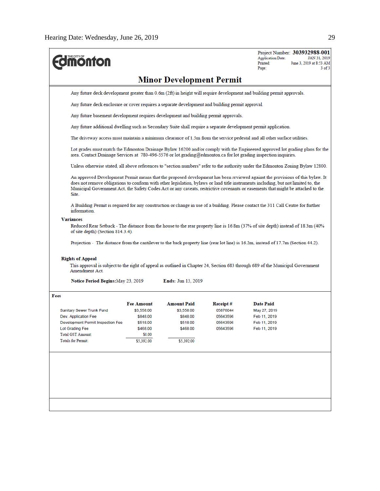| THE CITY OF<br><b>monton</b>                                                                                                                                                                                                                                                                                                                                                                                                                                                                                                                                                             |                                                                                                                       |                                                                             |                                                          | <b>Application Date:</b><br>Printed:<br>Page:                                    | Project Number: 303932988-001<br>JAN 31, 2019<br>June 3, 2019 at 8:53 AM<br>$3$ of $3$ |  |  |
|------------------------------------------------------------------------------------------------------------------------------------------------------------------------------------------------------------------------------------------------------------------------------------------------------------------------------------------------------------------------------------------------------------------------------------------------------------------------------------------------------------------------------------------------------------------------------------------|-----------------------------------------------------------------------------------------------------------------------|-----------------------------------------------------------------------------|----------------------------------------------------------|----------------------------------------------------------------------------------|----------------------------------------------------------------------------------------|--|--|
|                                                                                                                                                                                                                                                                                                                                                                                                                                                                                                                                                                                          |                                                                                                                       | <b>Minor Development Permit</b>                                             |                                                          |                                                                                  |                                                                                        |  |  |
|                                                                                                                                                                                                                                                                                                                                                                                                                                                                                                                                                                                          | Any future deck development greater than 0.6m (2ft) in height will require development and building permit approvals. |                                                                             |                                                          |                                                                                  |                                                                                        |  |  |
|                                                                                                                                                                                                                                                                                                                                                                                                                                                                                                                                                                                          | Any future deck enclosure or cover requires a separate development and building permit approval.                      |                                                                             |                                                          |                                                                                  |                                                                                        |  |  |
| Any future basement development requires development and building permit approvals.                                                                                                                                                                                                                                                                                                                                                                                                                                                                                                      |                                                                                                                       |                                                                             |                                                          |                                                                                  |                                                                                        |  |  |
| Any future additional dwelling such as Secondary Suite shall require a separate development permit application.                                                                                                                                                                                                                                                                                                                                                                                                                                                                          |                                                                                                                       |                                                                             |                                                          |                                                                                  |                                                                                        |  |  |
| The driveway access must maintain a minimum clearance of 1.5m from the service pedestal and all other surface utilities.                                                                                                                                                                                                                                                                                                                                                                                                                                                                 |                                                                                                                       |                                                                             |                                                          |                                                                                  |                                                                                        |  |  |
| Lot grades must match the Edmonton Dramage Bylaw 16200 and/or comply with the Engineered approved lot grading plans for the<br>area. Contact Drainage Services at 780-496-5576 or lot grading@edmonton.ca for lot grading inspection inquiries.                                                                                                                                                                                                                                                                                                                                          |                                                                                                                       |                                                                             |                                                          |                                                                                  |                                                                                        |  |  |
| Unless otherwise stated, all above references to "section numbers" refer to the authority under the Edmonton Zoning Bylaw 12800.                                                                                                                                                                                                                                                                                                                                                                                                                                                         |                                                                                                                       |                                                                             |                                                          |                                                                                  |                                                                                        |  |  |
| An approved Development Permit means that the proposed development has been reviewed against the provisions of this bylaw. It<br>does not remove obligations to conform with other legislation, bylaws or land title instruments including, but not limited to, the<br>Municipal Government Act, the Safety Codes Act or any caveats, restrictive covenants or easements that might be attached to the<br>Site.                                                                                                                                                                          |                                                                                                                       |                                                                             |                                                          |                                                                                  |                                                                                        |  |  |
| A Building Permit is required for any construction or change in use of a building. Please contact the 311 Call Centre for further<br>information.                                                                                                                                                                                                                                                                                                                                                                                                                                        |                                                                                                                       |                                                                             |                                                          |                                                                                  |                                                                                        |  |  |
| <b>Variances</b><br>(40%) Reduced Rear Setback - The distance from the house to the rear property line is 16.8m (37% of site depth) instead of 18.3m<br>of site depth) (Section 814.3.4).<br>Projection - The distance from the cantilever to the back property line (rear lot line) is 16.2m, instead of 17.7m (Section 44.2).<br><b>Rights of Appeal</b><br>This approval is subject to the right of appeal as outlined in Chapter 24, Section 683 through 689 of the Municipal Government<br>Amendment Act.<br><b>Notice Period Begins:</b> May 23, 2019<br><b>Ends:</b> Jun 13, 2019 |                                                                                                                       |                                                                             |                                                          |                                                                                  |                                                                                        |  |  |
| Fees                                                                                                                                                                                                                                                                                                                                                                                                                                                                                                                                                                                     |                                                                                                                       |                                                                             |                                                          |                                                                                  |                                                                                        |  |  |
| Sanitary Sewer Trunk Fund<br>Dev. Application Fee<br>Development Permit Inspection Fee<br>Lot Grading Fee<br><b>Total GST Amount:</b><br><b>Totals for Permit:</b>                                                                                                                                                                                                                                                                                                                                                                                                                       | <b>Fee Amount</b><br>\$3,558.00<br>\$848.00<br>\$518.00<br>\$468.00<br>\$0.00<br>\$5,392.00                           | Amount Paid<br>\$3,558.00<br>\$848.00<br>\$518.00<br>\$468.00<br>\$5,392.00 | Receipt#<br>05876044<br>05643596<br>05643596<br>05643596 | <b>Date Paid</b><br>May 27, 2019<br>Feb 11, 2019<br>Feb 11, 2019<br>Feb 11, 2019 |                                                                                        |  |  |
|                                                                                                                                                                                                                                                                                                                                                                                                                                                                                                                                                                                          |                                                                                                                       |                                                                             |                                                          |                                                                                  |                                                                                        |  |  |